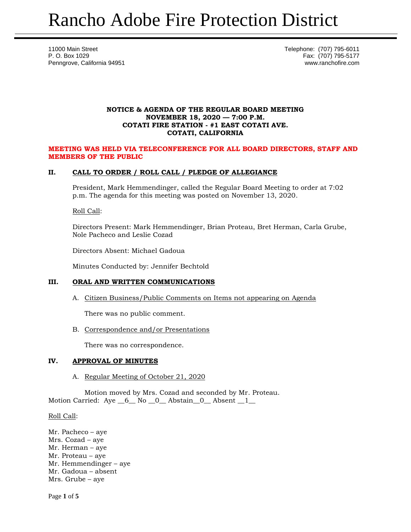11000 Main Street **Telephone:** (707) 795-6011 P. O. Box 1029 Fax: (707) 795-5177 Penngrove, California 94951 www.ranchofire.com

## **NOTICE & AGENDA OF THE REGULAR BOARD MEETING NOVEMBER 18, 2020 — 7:00 P.M. COTATI FIRE STATION - #1 EAST COTATI AVE. COTATI, CALIFORNIA**

## **MEETING WAS HELD VIA TELECONFERENCE FOR ALL BOARD DIRECTORS, STAFF AND MEMBERS OF THE PUBLIC**

## **II. CALL TO ORDER / ROLL CALL / PLEDGE OF ALLEGIANCE**

President, Mark Hemmendinger, called the Regular Board Meeting to order at 7:02 p.m. The agenda for this meeting was posted on November 13, 2020.

## Roll Call:

Directors Present: Mark Hemmendinger, Brian Proteau, Bret Herman, Carla Grube, Nole Pacheco and Leslie Cozad

Directors Absent: Michael Gadoua

Minutes Conducted by: Jennifer Bechtold

# **III. ORAL AND WRITTEN COMMUNICATIONS**

A. Citizen Business/Public Comments on Items not appearing on Agenda

There was no public comment.

B. Correspondence and/or Presentations

There was no correspondence.

## **IV. APPROVAL OF MINUTES**

A. Regular Meeting of October 21, 2020

Motion moved by Mrs. Cozad and seconded by Mr. Proteau. Motion Carried: Aye  $\_6\_$  No  $\_0\_$  Abstain  $\_0\_$  Absent  $\_1\_$ 

#### Roll Call:

Mr. Pacheco – aye Mrs. Cozad – aye Mr. Herman – aye Mr. Proteau – aye Mr. Hemmendinger – aye Mr. Gadoua – absent Mrs. Grube – aye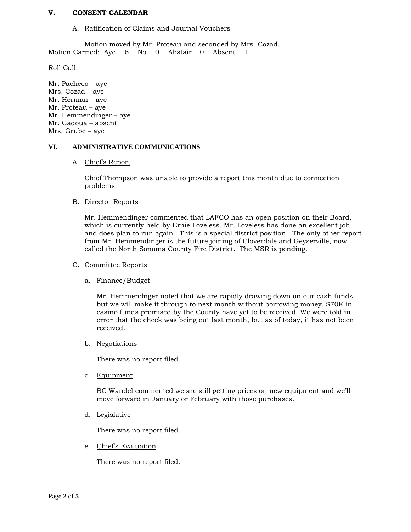## **V. CONSENT CALENDAR**

#### A. Ratification of Claims and Journal Vouchers

Motion moved by Mr. Proteau and seconded by Mrs. Cozad. Motion Carried: Aye \_6\_ No \_0\_ Abstain\_0\_ Absent \_1\_

Roll Call:

Mr. Pacheco – aye Mrs. Cozad – aye Mr. Herman – aye Mr. Proteau – aye Mr. Hemmendinger – aye Mr. Gadoua – absent Mrs. Grube – aye

#### **VI. ADMINISTRATIVE COMMUNICATIONS**

#### A. Chief's Report

Chief Thompson was unable to provide a report this month due to connection problems.

#### B. Director Reports

Mr. Hemmendinger commented that LAFCO has an open position on their Board, which is currently held by Ernie Loveless. Mr. Loveless has done an excellent job and does plan to run again. This is a special district position. The only other report from Mr. Hemmendinger is the future joining of Cloverdale and Geyserville, now called the North Sonoma County Fire District. The MSR is pending.

#### C. Committee Reports

## a. Finance/Budget

Mr. Hemmendnger noted that we are rapidly drawing down on our cash funds but we will make it through to next month without borrowing money. \$70K in casino funds promised by the County have yet to be received. We were told in error that the check was being cut last month, but as of today, it has not been received.

b. Negotiations

There was no report filed.

c. Equipment

BC Wandel commented we are still getting prices on new equipment and we'll move forward in January or February with those purchases.

d. Legislative

There was no report filed.

e. Chief's Evaluation

There was no report filed.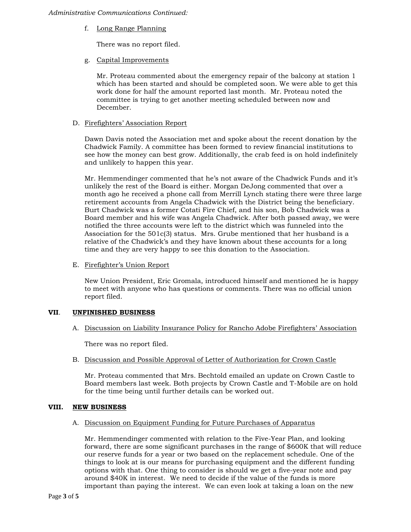#### *Administrative Communications Continued:*

f. Long Range Planning

There was no report filed.

g. Capital Improvements

Mr. Proteau commented about the emergency repair of the balcony at station 1 which has been started and should be completed soon. We were able to get this work done for half the amount reported last month. Mr. Proteau noted the committee is trying to get another meeting scheduled between now and December.

# D. Firefighters' Association Report

Dawn Davis noted the Association met and spoke about the recent donation by the Chadwick Family. A committee has been formed to review financial institutions to see how the money can best grow. Additionally, the crab feed is on hold indefinitely and unlikely to happen this year.

Mr. Hemmendinger commented that he's not aware of the Chadwick Funds and it's unlikely the rest of the Board is either. Morgan DeJong commented that over a month ago he received a phone call from Merrill Lynch stating there were three large retirement accounts from Angela Chadwick with the District being the beneficiary. Burt Chadwick was a former Cotati Fire Chief, and his son, Bob Chadwick was a Board member and his wife was Angela Chadwick. After both passed away, we were notified the three accounts were left to the district which was funneled into the Association for the 501c(3) status. Mrs. Grube mentioned that her husband is a relative of the Chadwick's and they have known about these accounts for a long time and they are very happy to see this donation to the Association.

E. Firefighter's Union Report

New Union President, Eric Gromala, introduced himself and mentioned he is happy to meet with anyone who has questions or comments. There was no official union report filed.

## **VII**. **UNFINISHED BUSINESS**

A. Discussion on Liability Insurance Policy for Rancho Adobe Firefighters' Association

There was no report filed.

B. Discussion and Possible Approval of Letter of Authorization for Crown Castle

Mr. Proteau commented that Mrs. Bechtold emailed an update on Crown Castle to Board members last week. Both projects by Crown Castle and T-Mobile are on hold for the time being until further details can be worked out.

## **VIII. NEW BUSINESS**

## A. Discussion on Equipment Funding for Future Purchases of Apparatus

Mr. Hemmendinger commented with relation to the Five-Year Plan, and looking forward, there are some significant purchases in the range of \$600K that will reduce our reserve funds for a year or two based on the replacement schedule. One of the things to look at is our means for purchasing equipment and the different funding options with that. One thing to consider is should we get a five-year note and pay around \$40K in interest. We need to decide if the value of the funds is more important than paying the interest. We can even look at taking a loan on the new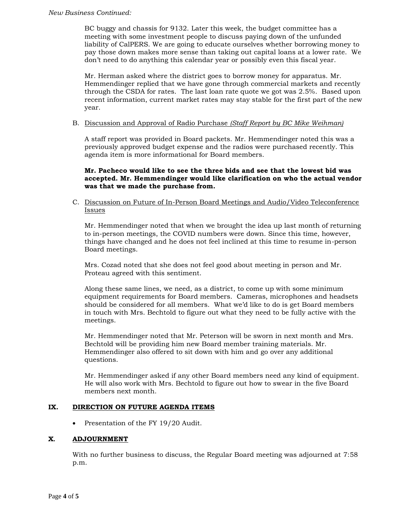BC buggy and chassis for 9132. Later this week, the budget committee has a meeting with some investment people to discuss paying down of the unfunded liability of CalPERS. We are going to educate ourselves whether borrowing money to pay those down makes more sense than taking out capital loans at a lower rate. We don't need to do anything this calendar year or possibly even this fiscal year.

Mr. Herman asked where the district goes to borrow money for apparatus. Mr. Hemmendinger replied that we have gone through commercial markets and recently through the CSDA for rates. The last loan rate quote we got was 2.5%. Based upon recent information, current market rates may stay stable for the first part of the new year.

## B. Discussion and Approval of Radio Purchase *(Staff Report by BC Mike Weihman)*

A staff report was provided in Board packets. Mr. Hemmendinger noted this was a previously approved budget expense and the radios were purchased recently. This agenda item is more informational for Board members.

**Mr. Pacheco would like to see the three bids and see that the lowest bid was accepted. Mr. Hemmendinger would like clarification on who the actual vendor was that we made the purchase from.**

C. Discussion on Future of In-Person Board Meetings and Audio/Video Teleconference Issues

Mr. Hemmendinger noted that when we brought the idea up last month of returning to in-person meetings, the COVID numbers were down. Since this time, however, things have changed and he does not feel inclined at this time to resume in-person Board meetings.

Mrs. Cozad noted that she does not feel good about meeting in person and Mr. Proteau agreed with this sentiment.

Along these same lines, we need, as a district, to come up with some minimum equipment requirements for Board members. Cameras, microphones and headsets should be considered for all members. What we'd like to do is get Board members in touch with Mrs. Bechtold to figure out what they need to be fully active with the meetings.

Mr. Hemmendinger noted that Mr. Peterson will be sworn in next month and Mrs. Bechtold will be providing him new Board member training materials. Mr. Hemmendinger also offered to sit down with him and go over any additional questions.

Mr. Hemmendinger asked if any other Board members need any kind of equipment. He will also work with Mrs. Bechtold to figure out how to swear in the five Board members next month.

## **IX. DIRECTION ON FUTURE AGENDA ITEMS**

• Presentation of the FY 19/20 Audit.

## **X. ADJOURNMENT**

With no further business to discuss, the Regular Board meeting was adjourned at 7:58 p.m.